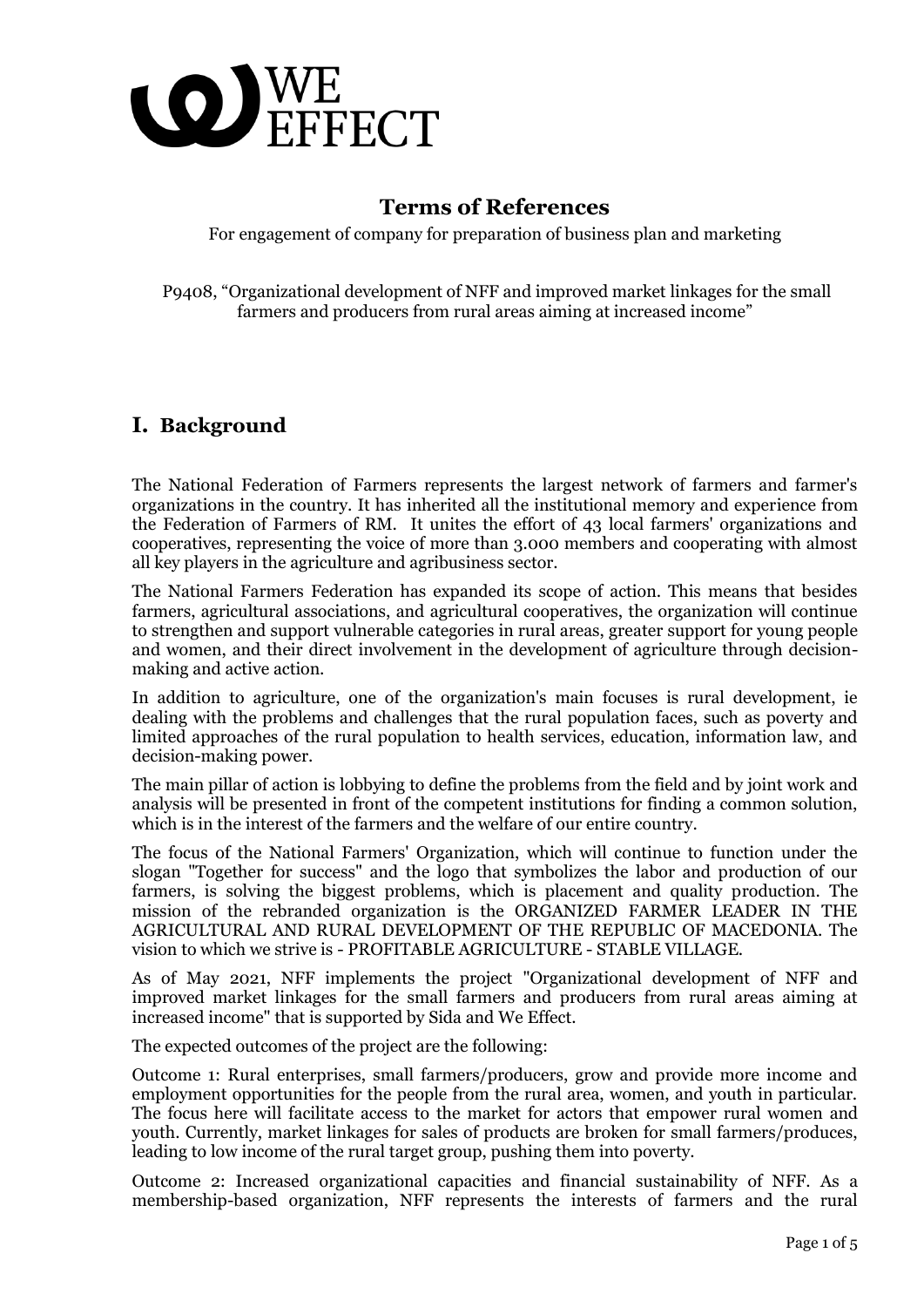

## **Terms of References**

For engagement of company for preparation of business plan and marketing

P9408, "Organizational development of NFF and improved market linkages for the small farmers and producers from rural areas aiming at increased income"

## **I. Background**

The National Federation of Farmers represents the largest network of farmers and farmer's organizations in the country. It has inherited all the institutional memory and experience from the Federation of Farmers of RM. It unites the effort of 43 local farmers' organizations and cooperatives, representing the voice of more than 3.000 members and cooperating with almost all key players in the agriculture and agribusiness sector.

The National Farmers Federation has expanded its scope of action. This means that besides farmers, agricultural associations, and agricultural cooperatives, the organization will continue to strengthen and support vulnerable categories in rural areas, greater support for young people and women, and their direct involvement in the development of agriculture through decisionmaking and active action.

In addition to agriculture, one of the organization's main focuses is rural development, ie dealing with the problems and challenges that the rural population faces, such as poverty and limited approaches of the rural population to health services, education, information law, and decision-making power.

The main pillar of action is lobbying to define the problems from the field and by joint work and analysis will be presented in front of the competent institutions for finding a common solution, which is in the interest of the farmers and the welfare of our entire country.

The focus of the National Farmers' Organization, which will continue to function under the slogan "Together for success" and the logo that symbolizes the labor and production of our farmers, is solving the biggest problems, which is placement and quality production. The mission of the rebranded organization is the ORGANIZED FARMER LEADER IN THE AGRICULTURAL AND RURAL DEVELOPMENT OF THE REPUBLIC OF MACEDONIA. The vision to which we strive is - PROFITABLE AGRICULTURE - STABLE VILLAGE.

As of May 2021, NFF implements the project "Organizational development of NFF and improved market linkages for the small farmers and producers from rural areas aiming at increased income" that is supported by Sida and We Effect.

The expected outcomes of the project are the following:

Outcome 1: Rural enterprises, small farmers/producers, grow and provide more income and employment opportunities for the people from the rural area, women, and youth in particular. The focus here will facilitate access to the market for actors that empower rural women and youth. Currently, market linkages for sales of products are broken for small farmers/produces, leading to low income of the rural target group, pushing them into poverty.

Outcome 2: Increased organizational capacities and financial sustainability of NFF. As a membership-based organization, NFF represents the interests of farmers and the rural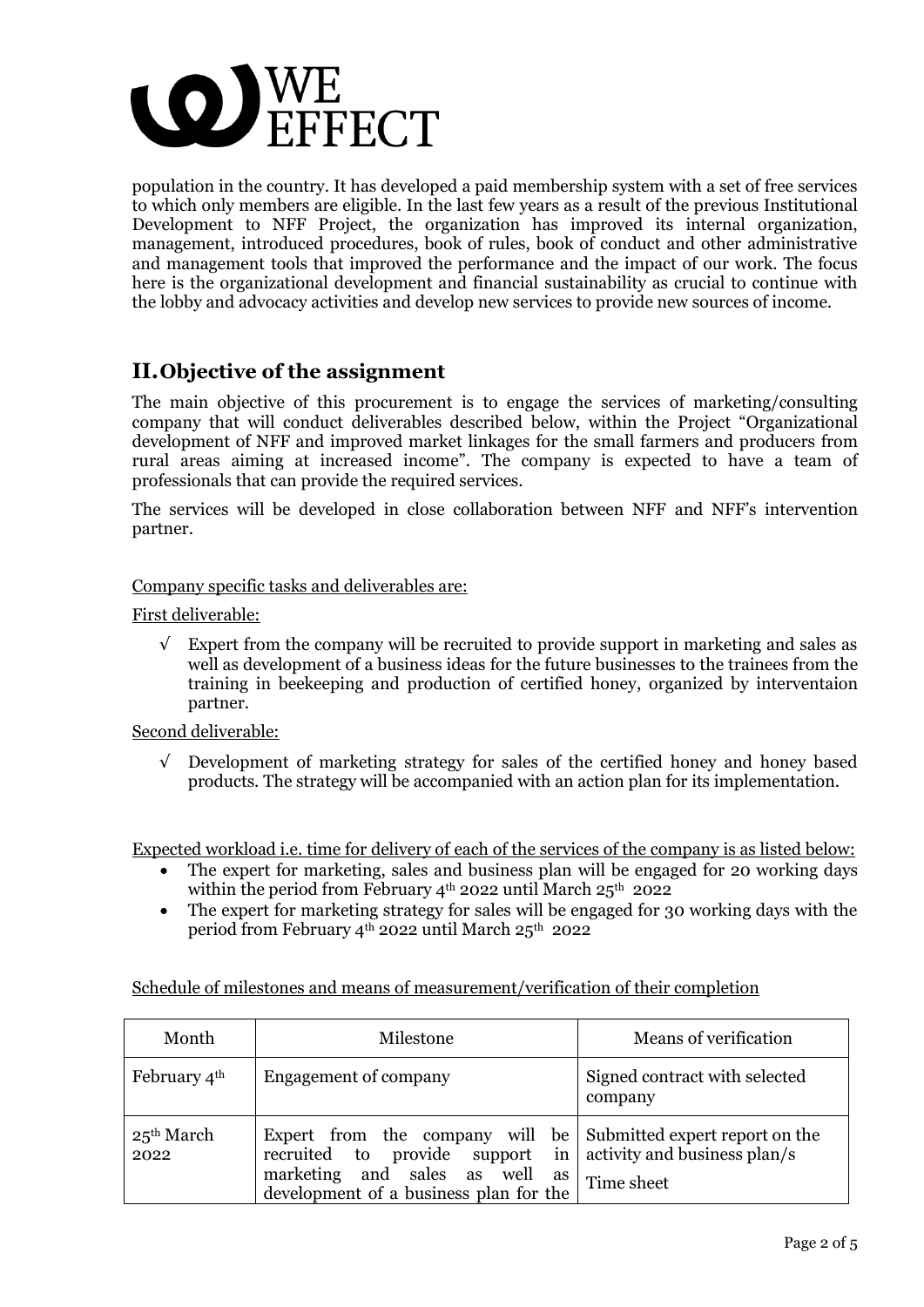

population in the country. It has developed a paid membership system with a set of free services to which only members are eligible. In the last few years as a result of the previous Institutional Development to NFF Project, the organization has improved its internal organization, management, introduced procedures, book of rules, book of conduct and other administrative and management tools that improved the performance and the impact of our work. The focus here is the organizational development and financial sustainability as crucial to continue with the lobby and advocacy activities and develop new services to provide new sources of income.

## **II.Objective of the assignment**

The main objective of this procurement is to engage the services of marketing/consulting company that will conduct deliverables described below, within the Project "Organizational development of NFF and improved market linkages for the small farmers and producers from rural areas aiming at increased income". The company is expected to have a team of professionals that can provide the required services.

The services will be developed in close collaboration between NFF and NFF's intervention partner.

#### Company specific tasks and deliverables are:

#### First deliverable:

 $\sqrt{\phantom{a}}$  Expert from the company will be recruited to provide support in marketing and sales as well as development of a business ideas for the future businesses to the trainees from the training in beekeeping and production of certified honey, organized by interventaion partner.

#### Second deliverable:

 $\sqrt{\phantom{a}}$  Development of marketing strategy for sales of the certified honey and honey based products. The strategy will be accompanied with an action plan for its implementation.

Expected workload i.e. time for delivery of each of the services of the company is as listed below:

- The expert for marketing, sales and business plan will be engaged for 20 working days within the period from February 4<sup>th</sup> 2022 until March 25<sup>th</sup> 2022
- The expert for marketing strategy for sales will be engaged for 30 working days with the period from February  $4^{\text{th}}$  2022 until March 25<sup>th</sup> 2022

| Schedule of milestones and means of measurement/verification of their completion |  |  |
|----------------------------------------------------------------------------------|--|--|
|                                                                                  |  |  |

| Month                    | Milestone                                                                                                                                                                                                          | Means of verification                    |
|--------------------------|--------------------------------------------------------------------------------------------------------------------------------------------------------------------------------------------------------------------|------------------------------------------|
| February $4^{\text{th}}$ | Engagement of company                                                                                                                                                                                              | Signed contract with selected<br>company |
| $25^{th}$ March<br>2022  | Expert from the company will be Submitted expert report on the<br>recruited to provide support in $\vert$ activity and business plan/s<br>marketing and sales as well as<br>development of a business plan for the | Time sheet                               |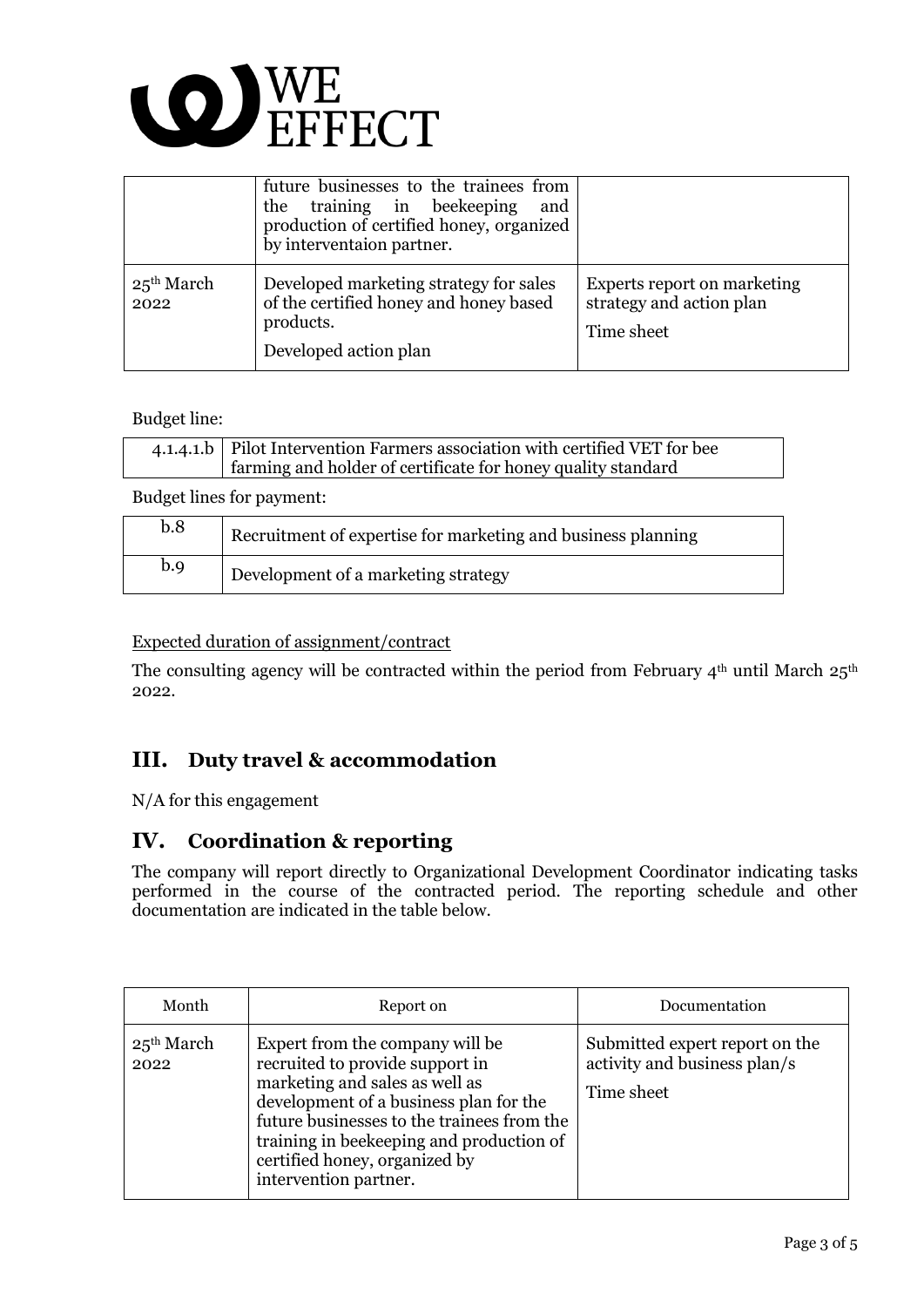

|                         | future businesses to the trainees from<br>the training in beekeeping<br>and<br>production of certified honey, organized<br>by interventaion partner. |                                                                       |
|-------------------------|------------------------------------------------------------------------------------------------------------------------------------------------------|-----------------------------------------------------------------------|
| $25^{th}$ March<br>2022 | Developed marketing strategy for sales<br>of the certified honey and honey based<br>products.<br>Developed action plan                               | Experts report on marketing<br>strategy and action plan<br>Time sheet |

#### Budget line:

| 4.1.4.1.b   Pilot Intervention Farmers association with certified VET for bee |  |
|-------------------------------------------------------------------------------|--|
| farming and holder of certificate for honey quality standard                  |  |

Budget lines for payment:

| b.8 | Recruitment of expertise for marketing and business planning |
|-----|--------------------------------------------------------------|
| b.9 | Development of a marketing strategy                          |

#### Expected duration of assignment/contract

The consulting agency will be contracted within the period from February  $4<sup>th</sup>$  until March  $25<sup>th</sup>$ 2022.

## **III. Duty travel & accommodation**

N/A for this engagement

### **IV. Coordination & reporting**

The company will report directly to Organizational Development Coordinator indicating tasks performed in the course of the contracted period. The reporting schedule and other documentation are indicated in the table below.

| Month                   | Report on                                                                                                                                                                                                                                                                                          | Documentation                                                                |
|-------------------------|----------------------------------------------------------------------------------------------------------------------------------------------------------------------------------------------------------------------------------------------------------------------------------------------------|------------------------------------------------------------------------------|
| $25^{th}$ March<br>2022 | Expert from the company will be<br>recruited to provide support in<br>marketing and sales as well as<br>development of a business plan for the<br>future businesses to the trainees from the<br>training in beekeeping and production of<br>certified honey, organized by<br>intervention partner. | Submitted expert report on the<br>activity and business plan/s<br>Time sheet |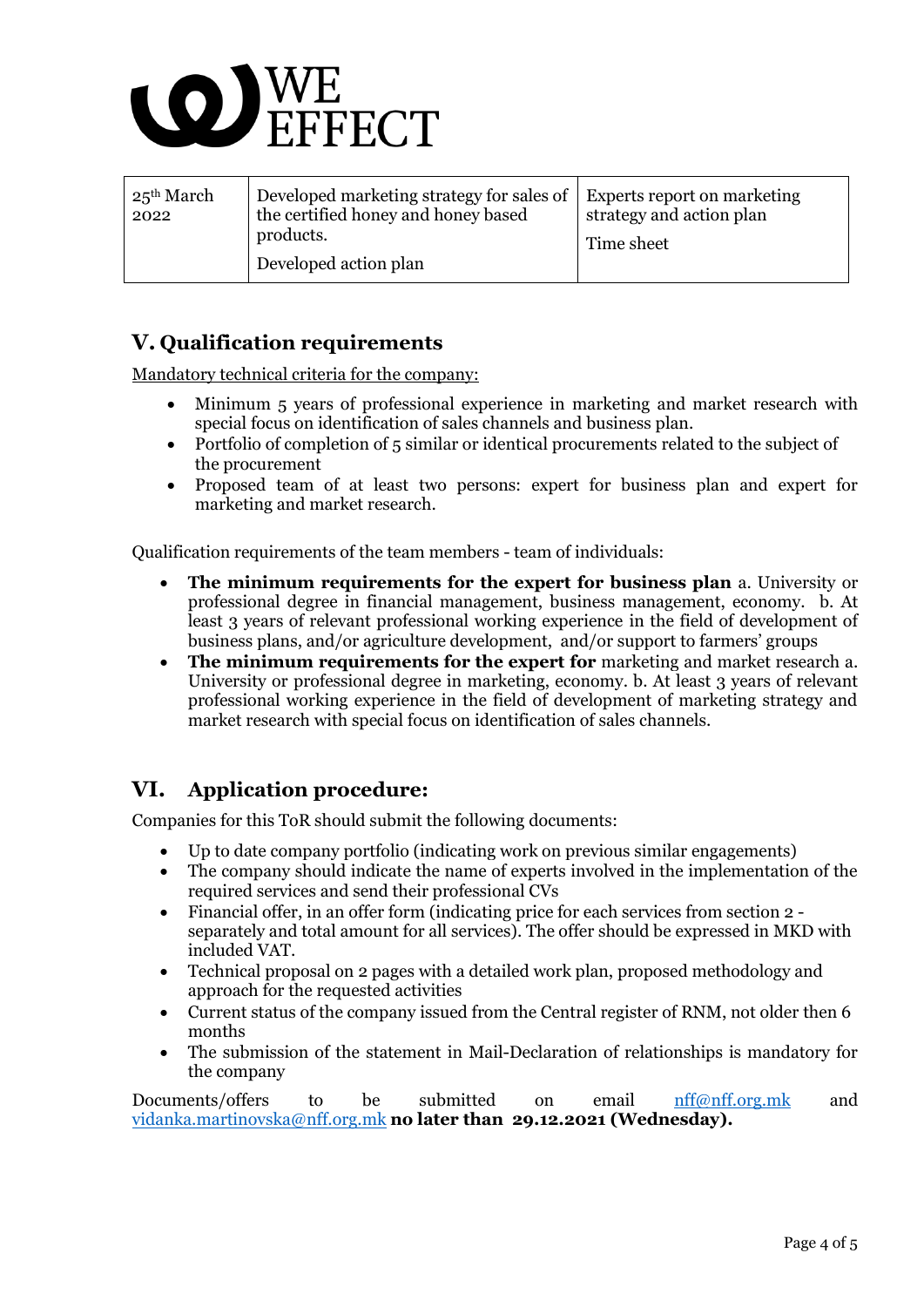

| $25^{th}$ March<br>2022 | Developed marketing strategy for sales of<br>the certified honey and honey based<br>products.<br>Developed action plan | <b>Experts report on marketing</b><br>strategy and action plan<br>Time sheet |
|-------------------------|------------------------------------------------------------------------------------------------------------------------|------------------------------------------------------------------------------|
|-------------------------|------------------------------------------------------------------------------------------------------------------------|------------------------------------------------------------------------------|

# **V. Qualification requirements**

Mandatory technical criteria for the company:

- Minimum 5 years of professional experience in marketing and market research with special focus on identification of sales channels and business plan.
- Portfolio of completion of 5 similar or identical procurements related to the subject of the procurement
- Proposed team of at least two persons: expert for business plan and expert for marketing and market research.

Qualification requirements of the team members - team of individuals:

- **The minimum requirements for the expert for business plan** a. University or professional degree in financial management, business management, economy. b. At least 3 years of relevant professional working experience in the field of development of business plans, and/or agriculture development, and/or support to farmers' groups
- **The minimum requirements for the expert for** marketing and market research a. University or professional degree in marketing, economy. b. At least 3 years of relevant professional working experience in the field of development of marketing strategy and market research with special focus on identification of sales channels.

# **VI. Application procedure:**

Companies for this ToR should submit the following documents:

- Up to date company portfolio (indicating work on previous similar engagements)
- The company should indicate the name of experts involved in the implementation of the required services and send their professional CVs
- Financial offer, in an offer form (indicating price for each services from section 2 separately and total amount for all services). The offer should be expressed in MKD with included VAT.
- Technical proposal on 2 pages with a detailed work plan, proposed methodology and approach for the requested activities
- Current status of the company issued from the Central register of RNM, not older then 6 months
- The submission of the statement in Mail-Declaration of relationships is mandatory for the company

Documents/offers to be submitted on email [nff@nff.org.mk](mailto:nff@nff.org.mk) and [vidanka.martinovska@nff.org.mk](mailto:vidanka.martinovska@nff.org.mk) **no later than 29.12.2021 (Wednesday).**